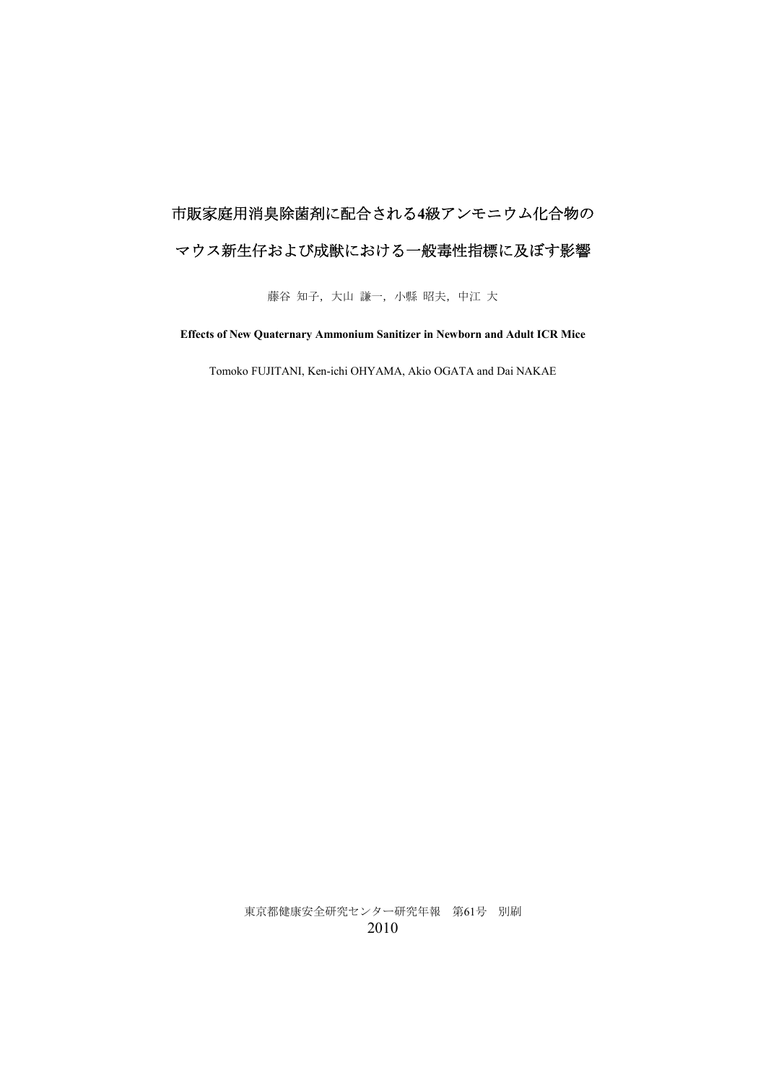# 市販家庭用消臭除菌剤に配合される**4**級アンモニウム化合物の マウス新生仔および成獣における一般毒性指標に及ぼす影響

藤谷 知子, 大山 謙一, 小縣 昭夫, 中江 大

**Effects of New Quaternary Ammonium Sanitizer in Newborn and Adult ICR Mice** 

Tomoko FUJITANI, Ken-ichi OHYAMA, Akio OGATA and Dai NAKAE

東京都健康安全研究センター研究年報 第61号 別刷 2010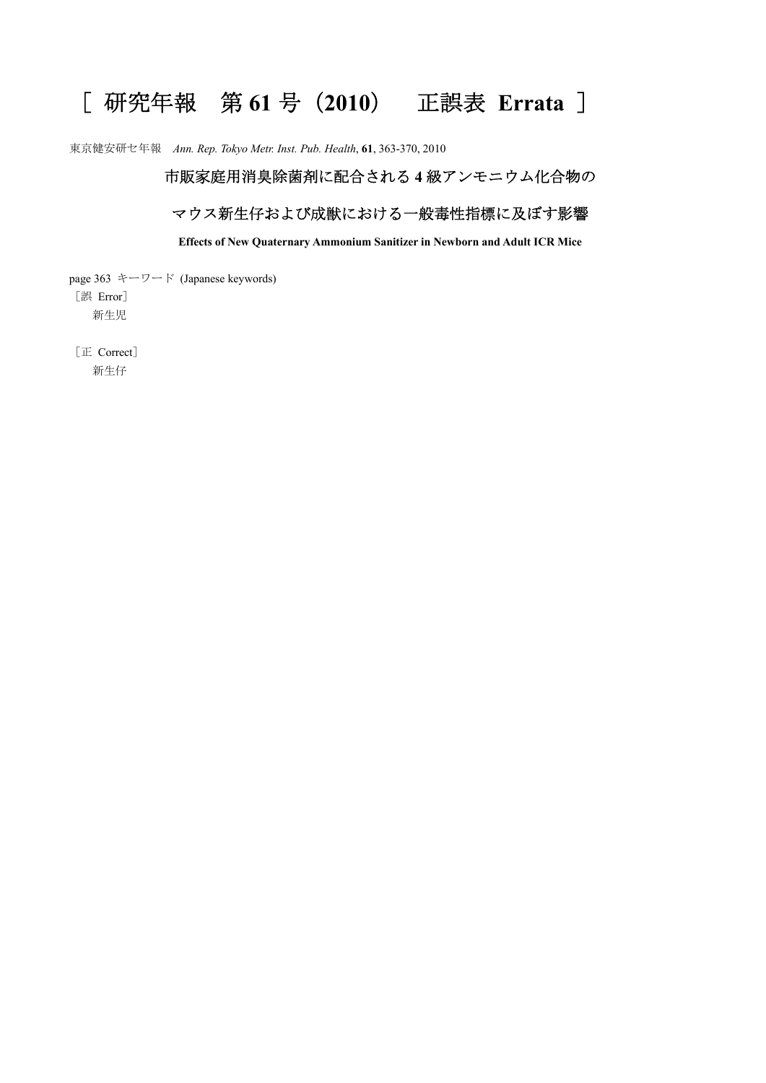# [ 研究年報 第 **61** 号(**2010**) 正誤表 **Errata** ]

東京健安研セ年報 *Ann. Rep. Tokyo Metr. Inst. Pub. Health*, **61**, 363-370, 2010

# 市販家庭用消臭除菌剤に配合される **4** 級アンモニウム化合物の

# マウス新生仔および成獣における一般毒性指標に及ぼす影響

**Effects of New Quaternary Ammonium Sanitizer in Newborn and Adult ICR Mice** 

page 363 キーワード (Japanese keywords) [誤 Error] 新生児

[正 Correct] 新生仔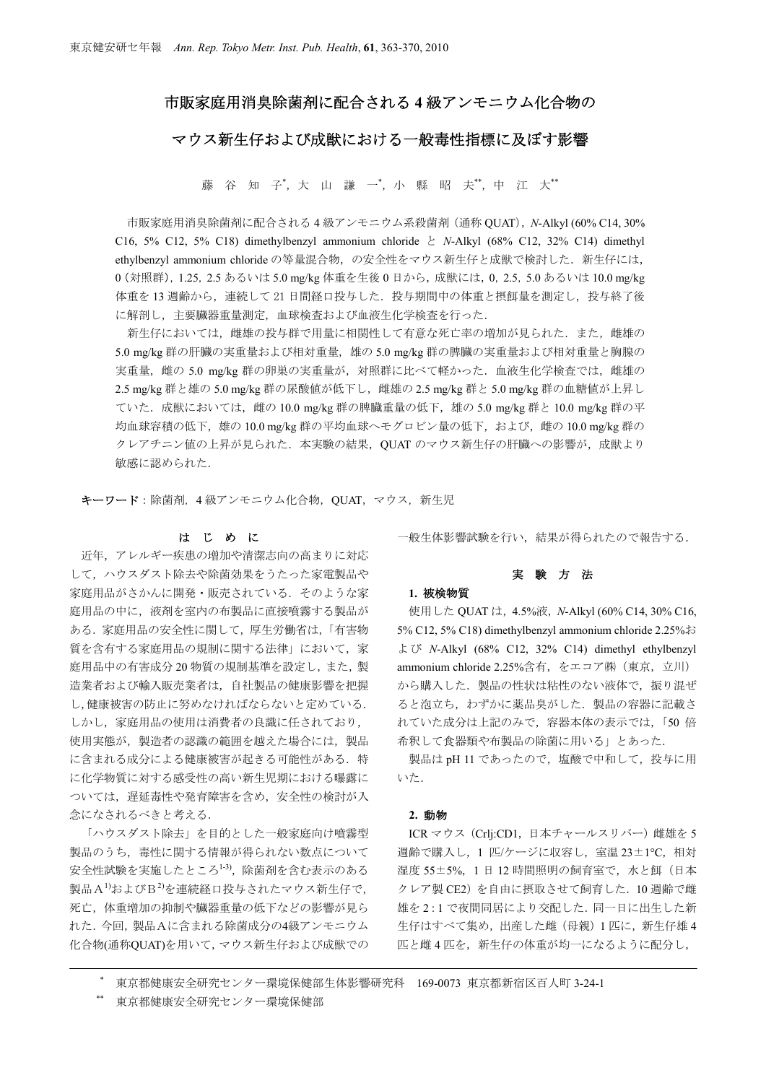# 市販家庭用消臭除菌剤に配合される **4** 級アンモニウム化合物の

# マウス新生仔および成獣における一般毒性指標に及ぼす影響

藤 谷 知 子\*,大 山 謙 一\*,小 縣 昭 夫\*\*,中 江 大\*\*

市販家庭用消臭除菌剤に配合される 4 級アンモニウム系殺菌剤(通称 QUAT),*N*-Alkyl (60% C14, 30% C16, 5% C12, 5% C18) dimethylbenzyl ammonium chloride と *N*-Alkyl (68% C12, 32% C14) dimethyl ethylbenzyl ammonium chloride の等量混合物, の安全性をマウス新生仔と成獣で検討した. 新生仔には, 0(対照群),1.25,2.5 あるいは 5.0 mg/kg 体重を生後 0 日から,成獣には,0,2.5,5.0 あるいは 10.0 mg/kg 体重を13週齢から、連続して21日間経口投与した.投与期間中の体重と摂餌量を測定し、投与終了後 に解剖し,主要臓器重量測定,血球検査および血液生化学検査を行った.

新生仔においては,雌雄の投与群で用量に相関性して有意な死亡率の増加が見られた.また,雌雄の 5.0 mg/kg 群の肝臓の実重量および相対重量,雄の 5.0 mg/kg 群の脾臓の実重量および相対重量と胸腺の 実重量,雌の 5.0 mg/kg 群の卵巣の実重量が,対照群に比べて軽かった. 血液生化学検査では,雌雄の 2.5 mg/kg 群と雄の 5.0 mg/kg 群の尿酸値が低下し,雌雄の 2.5 mg/kg 群と 5.0 mg/kg 群の血糖値が上昇し ていた.成獣においては,雌の 10.0 mg/kg 群の脾臓重量の低下,雄の 5.0 mg/kg 群と 10.0 mg/kg 群の平 均血球容積の低下,雄の 10.0 mg/kg 群の平均血球ヘモグロビン量の低下,および,雌の 10.0 mg/kg 群の クレアチニン値の上昇が見られた. 本実験の結果, QUAT のマウス新生仔の肝臓への影響が, 成獣より 敏感に認められた.

キーワード:除菌剤, 4級アンモニウム化合物, QUAT, マウス, 新生児

### はじめに

近年,アレルギー疾患の増加や清潔志向の高まりに対応 して,ハウスダスト除去や除菌効果をうたった家電製品や 家庭用品がさかんに開発·販売されている. そのような家 庭用品の中に,液剤を室内の布製品に直接噴霧する製品が ある.家庭用品の安全性に関して,厚生労働省は,「有害物 質を含有する家庭用品の規制に関する法律」において、家 庭用品中の有害成分 20 物質の規制基準を設定し,また,製 造業者および輸入販売業者は,自社製品の健康影響を把握 し,健康被害の防止に努めなければならないと定めている. しかし,家庭用品の使用は消費者の良識に任されており, 使用実態が,製造者の認識の範囲を越えた場合には,製品 に含まれる成分による健康被害が起きる可能性がある. 特 に化学物質に対する感受性の高い新生児期における曝露に ついては,遅延毒性や発育障害を含め,安全性の検討が入 念になされるべきと考える.

「ハウスダスト除去」を目的とした一般家庭向け噴霧型 製品のうち,毒性に関する情報が得られない数点について 安全性試験を実施したところ1-3),除菌剤を含む表示のある 製品 $A^{1}$ および $B^{2}$ を連続経口投与されたマウス新生仔で, 死亡,体重増加の抑制や臓器重量の低下などの影響が見ら れた.今回,製品Aに含まれる除菌成分の4級アンモニウム 化合物(通称QUAT)を用いて,マウス新生仔および成獣での 一般生体影響試験を行い,結果が得られたので報告する.

# 実 験 方 法

#### **1.** 被検物質

使用した QUAT は,4.5%液,*N*-Alkyl (60% C14, 30% C16, 5% C12, 5% C18) dimethylbenzyl ammonium chloride 2.25%お よび *N*-Alkyl (68% C12, 32% C14) dimethyl ethylbenzyl ammonium chloride 2.25%含有,をエコア㈱(東京,立川) から購入した. 製品の性状は粘性のない液体で、振り混ぜ ると泡立ち,わずかに薬品臭がした.製品の容器に記載さ れていた成分は上記のみで,容器本体の表示では,「50 倍 希釈して食器類や布製品の除菌に用いる」とあった.

製品は pH 11 であったので、塩酸で中和して、投与に用 いた.

#### **2.** 動物

ICR マウス(Crlj:CD1,日本チャールスリバー)雌雄を 5 週齢で購入し,1 匹/ケージに収容し,室温 23±1°C,相対 湿度 55±5%,1 日 12 時間照明の飼育室で,水と餌(日本 クレア製 CE2)を自由に摂取させて飼育した. 10 週齢で雌 雄を 2:1 で夜間同居により交配した.同一日に出生した新 生仔はすべて集め,出産した雌(母親)1 匹に,新生仔雄 4 匹と雌4匹を、新生仔の体重が均一になるように配分し,

- 東京都健康安全研究センター環境保健部生体影響研究科 169-0073 東京都新宿区百人町 3-24-1
- \*\* 東京都健康安全研究センター環境保健部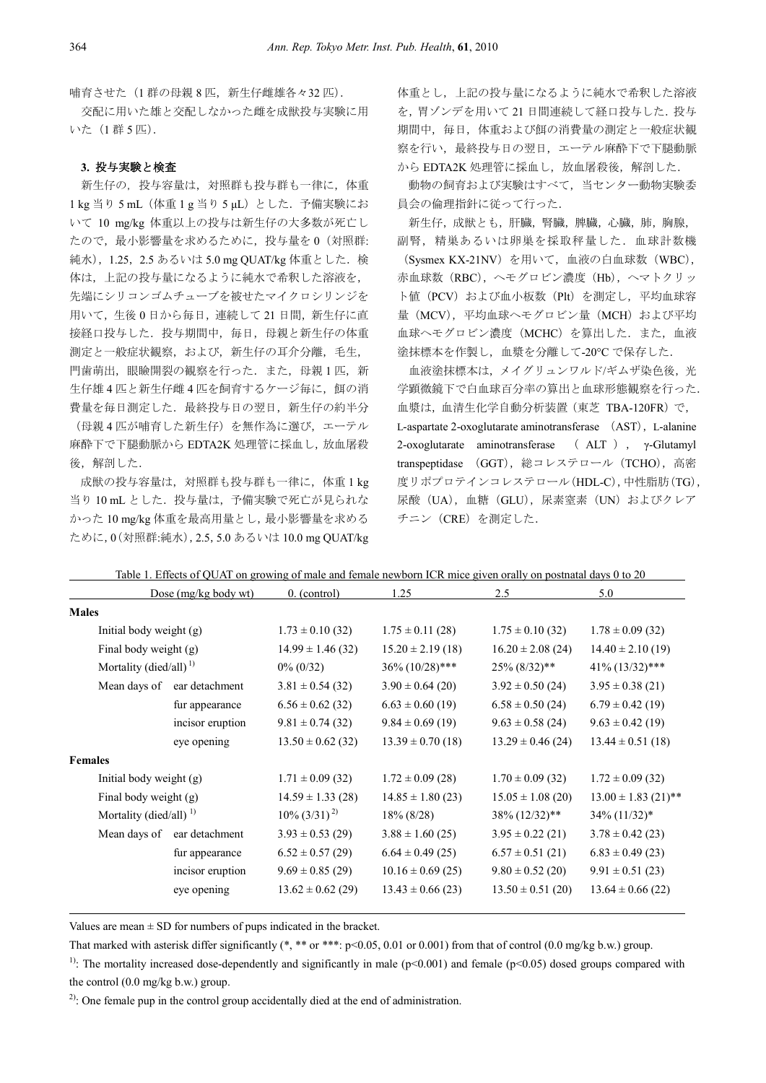哺育させた (1群の母親 8 匹, 新生仔雌雄各々32 匹). 交配に用いた雄と交配しなかった雌を成獣投与実験に用

いた (1群 5 匹).

## **3.** 投与実験と検査

新生仔の,投与容量は,対照群も投与群も一律に,体重 1 kg 当り 5 mL (体重 1 g 当り 5 μL) とした. 予備実験にお いて 10 mg/kg 体重以上の投与は新生仔の大多数が死亡し たので、最小影響量を求めるために、投与量を0(対照群: 純水), 1.25, 2.5 あるいは 5.0 mg QUAT/kg 体重とした. 検 体は,上記の投与量になるように純水で希釈した溶液を, 先端にシリコンゴムチューブを被せたマイクロシリンジを 用いて,生後 0 日から毎日,連続して 21 日間,新生仔に直 接経口投与した.投与期間中,毎日,母親と新生仔の体重 測定と一般症状観察,および,新生仔の耳介分離,毛生, 門歯萌出,眼瞼開裂の観察を行った.また、母親1匹,新 生仔雄 4 匹と新生仔雌 4 匹を飼育するケージ毎に、餌の消 費量を毎日測定した.最終投与日の翌日,新生仔の約半分 (母親 4 匹が哺育した新生仔)を無作為に選び,エーテル 麻酔下で下腿動脈から EDTA2K 処理管に採血し,放血屠殺 後,解剖した.

成獣の投与容量は,対照群も投与群も一律に,体重 1 kg 当り 10 mL とした. 投与量は、予備実験で死亡が見られな かった 10 mg/kg 体重を最高用量とし,最小影響量を求める ために,0(対照群:純水),2.5,5.0 あるいは 10.0 mg QUAT/kg

体重とし,上記の投与量になるように純水で希釈した溶液 を,胃ゾンデを用いて 21 日間連続して経口投与した.投与 期間中,毎日,体重および餌の消費量の測定と一般症状観 察を行い,最終投与日の翌日,エーテル麻酔下で下腿動脈 から EDTA2K 処理管に採血し、放血屠殺後、解剖した.

動物の飼育および実験はすべて,当センター動物実験委 員会の倫理指針に従って行った.

新生仔,成獣とも,肝臓,腎臓,脾臓,心臓,肺,胸腺, 副腎,精巣あるいは卵巣を採取秤量した.血球計数機 (Sysmex KX-21NV)を用いて,血液の白血球数(WBC), 赤血球数(RBC),ヘモグロビン濃度(Hb),ヘマトクリッ ト値(PCV)および血小板数(Plt)を測定し、平均血球容 量 (MCV), 平均血球ヘモグロビン量 (MCH) および平均 血球ヘモグロビン濃度 (MCHC) を算出した. また、血液 塗抹標本を作製し,血漿を分離して-20°C で保存した.

血液塗抹標本は,メイグリュンワルド/ギムザ染色後,光 学顕微鏡下で白血球百分率の算出と血球形態観察を行った. 血漿は,血清生化学自動分析装置(東芝 TBA-120FR)で, L-aspartate 2-oxoglutarate aminotransferase (AST), L-alanine 2-oxoglutarate aminotransferase ( $ALT$ ),  $\gamma$ -Glutamyl transpeptidase (GGT),総コレステロール(TCHO),高密 度リポプロテインコレステロール(HDL-C),中性脂肪(TG), 尿酸 (UA), 血糖 (GLU), 尿素窒素 (UN) およびクレア チニン(CRE)を測定した.

|                                    | Dose (mg/kg body wt)        | $0.$ (control)        | 1.25                  | 2.5                   | 5.0                     |
|------------------------------------|-----------------------------|-----------------------|-----------------------|-----------------------|-------------------------|
| <b>Males</b>                       |                             |                       |                       |                       |                         |
| Initial body weight (g)            |                             | $1.73 \pm 0.10$ (32)  | $1.75 \pm 0.11$ (28)  | $1.75 \pm 0.10$ (32)  | $1.78 \pm 0.09$ (32)    |
| Final body weight (g)              |                             | $14.99 \pm 1.46(32)$  | $15.20 \pm 2.19(18)$  | $16.20 \pm 2.08$ (24) | $14.40 \pm 2.10(19)$    |
| Mortality (died/all) <sup>1)</sup> |                             | $0\% (0/32)$          | $36\% (10/28)$ ***    | $25\% (8/32)$ **      | $41\% (13/32)$ ***      |
| Mean days of                       | ear detachment              | $3.81 \pm 0.54$ (32)  | $3.90 \pm 0.64$ (20)  | $3.92 \pm 0.50$ (24)  | $3.95 \pm 0.38$ (21)    |
|                                    | fur appearance              | $6.56 \pm 0.62$ (32)  | $6.63 \pm 0.60$ (19)  | $6.58 \pm 0.50$ (24)  | $6.79 \pm 0.42$ (19)    |
|                                    | incisor eruption            | $9.81 \pm 0.74$ (32)  | $9.84 \pm 0.69$ (19)  | $9.63 \pm 0.58$ (24)  | $9.63 \pm 0.42$ (19)    |
|                                    | eye opening                 | $13.50 \pm 0.62$ (32) | $13.39 \pm 0.70$ (18) | $13.29 \pm 0.46(24)$  | $13.44 \pm 0.51(18)$    |
| <b>Females</b>                     |                             |                       |                       |                       |                         |
| Initial body weight (g)            |                             | $1.71 \pm 0.09$ (32)  | $1.72 \pm 0.09$ (28)  | $1.70 \pm 0.09$ (32)  | $1.72 \pm 0.09$ (32)    |
| Final body weight (g)              |                             | $14.59 \pm 1.33$ (28) | $14.85 \pm 1.80$ (23) | $15.05 \pm 1.08$ (20) | $13.00 \pm 1.83$ (21)** |
| Mortality (died/all) <sup>1)</sup> |                             | $10\% (3/31)^{2}$     | $18\% (8/28)$         | $38\% (12/32)$ **     | $34\% (11/32)^*$        |
|                                    | Mean days of ear detachment | $3.93 \pm 0.53$ (29)  | $3.88 \pm 1.60$ (25)  | $3.95 \pm 0.22$ (21)  | $3.78 \pm 0.42$ (23)    |
|                                    | fur appearance              | $6.52 \pm 0.57$ (29)  | $6.64 \pm 0.49$ (25)  | $6.57 \pm 0.51$ (21)  | $6.83 \pm 0.49$ (23)    |
|                                    | incisor eruption            | $9.69 \pm 0.85$ (29)  | $10.16 \pm 0.69$ (25) | $9.80 \pm 0.52$ (20)  | $9.91 \pm 0.51$ (23)    |
|                                    | eye opening                 | $13.62 \pm 0.62$ (29) | $13.43 \pm 0.66$ (23) | $13.50 \pm 0.51(20)$  | $13.64 \pm 0.66$ (22)   |
|                                    |                             |                       |                       |                       |                         |

Table 1. Effects of QUAT on growing of male and female newborn ICR mice given orally on postnatal days 0 to 20

Values are mean  $\pm$  SD for numbers of pups indicated in the bracket.

That marked with asterisk differ significantly (\*, \*\* or \*\*\*: p<0.05, 0.01 or 0.001) from that of control (0.0 mg/kg b.w.) group.

<sup>1)</sup>: The mortality increased dose-dependently and significantly in male ( $p$ <0.001) and female ( $p$ <0.05) dosed groups compared with the control (0.0 mg/kg b.w.) group.

<sup>2)</sup>: One female pup in the control group accidentally died at the end of administration.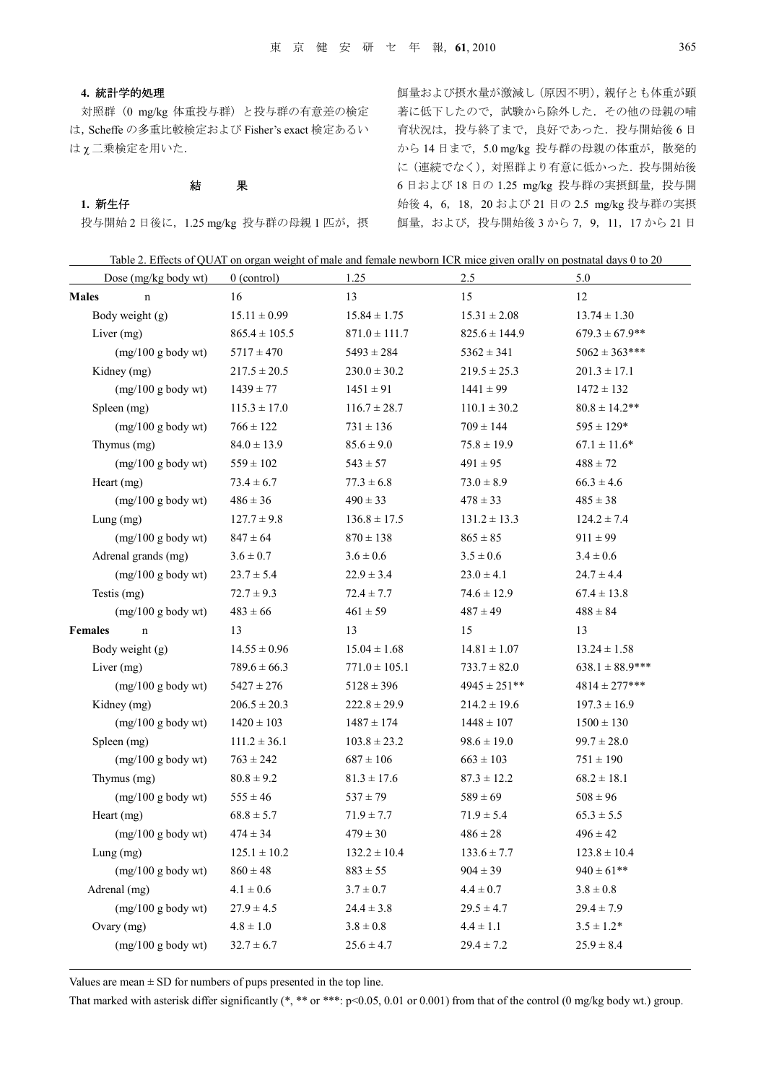## **4.** 統計学的処理

対照群(0 mg/kg 体重投与群)と投与群の有意差の検定 は、Scheffe の多重比較検定および Fisher's exact 検定あるい は χ 二乗検定を用いた.

# 結 果

# **1.** 新生仔

投与開始 2 日後に, 1.25 mg/kg 投与群の母親 1 匹が, 摂

餌量および摂水量が激減し(原因不明),親仔とも体重が顕 著に低下したので、試験から除外した. その他の母親の哺 育状況は,投与終了まで,良好であった.投与開始後 6 日 から 14 日まで, 5.0 mg/kg 投与群の母親の体重が,散発的 に(連続でなく),対照群より有意に低かった.投与開始後 6日および 18 日の 1.25 mg/kg 投与群の実摂餌量, 投与開 始後 4,6,18,20 および 21 日の 2.5 mg/kg 投与群の実摂 餌量,および,投与開始後 3 から 7,9,11,17 から 21 日

|--|

| Dose (mg/kg body wt)          | $0$ (control)     | 1.25              | 2.5               | 5.0                  |
|-------------------------------|-------------------|-------------------|-------------------|----------------------|
| <b>Males</b><br>$\mathbf n$   | 16                | 13                | 15                | 12                   |
| Body weight (g)               | $15.11 \pm 0.99$  | $15.84 \pm 1.75$  | $15.31 \pm 2.08$  | $13.74 \pm 1.30$     |
| Liver $(mg)$                  | $865.4 \pm 105.5$ | $871.0 \pm 111.7$ | $825.6 \pm 144.9$ | $679.3 \pm 67.9$ **  |
| $(mg/100 g$ body wt)          | $5717 \pm 470$    | $5493 \pm 284$    | $5362 \pm 341$    | $5062 \pm 363$ ***   |
| Kidney (mg)                   | $217.5 \pm 20.5$  | $230.0 \pm 30.2$  | $219.5 \pm 25.3$  | $201.3 \pm 17.1$     |
| $(mg/100 g$ body wt)          | $1439 \pm 77$     | $1451 \pm 91$     | $1441 \pm 99$     | $1472 \pm 132$       |
| Spleen (mg)                   | $115.3 \pm 17.0$  | $116.7 \pm 28.7$  | $110.1 \pm 30.2$  | $80.8 \pm 14.2$ **   |
| $(mg/100 g$ body wt)          | $766 \pm 122$     | $731 \pm 136$     | $709 \pm 144$     | $595 \pm 129*$       |
| Thymus (mg)                   | $84.0 \pm 13.9$   | $85.6 \pm 9.0$    | $75.8 \pm 19.9$   | $67.1 \pm 11.6*$     |
| $(mg/100 g$ body wt)          | $559 \pm 102$     | $543 \pm 57$      | $491 \pm 95$      | $488 \pm 72$         |
| Heart (mg)                    | $73.4 \pm 6.7$    | $77.3 \pm 6.8$    | $73.0 \pm 8.9$    | $66.3 \pm 4.6$       |
| $(mg/100 g$ body wt)          | $486 \pm 36$      | $490 \pm 33$      | $478 \pm 33$      | $485 \pm 38$         |
| Lung $(mg)$                   | $127.7 \pm 9.8$   | $136.8 \pm 17.5$  | $131.2 \pm 13.3$  | $124.2 \pm 7.4$      |
| $(mg/100 g$ body wt)          | $847 \pm 64$      | $870 \pm 138$     | $865 \pm 85$      | $911 \pm 99$         |
| Adrenal grands (mg)           | $3.6 \pm 0.7$     | $3.6 \pm 0.6$     | $3.5 \pm 0.6$     | $3.4 \pm 0.6$        |
| $(mg/100 g$ body wt)          | $23.7 \pm 5.4$    | $22.9 \pm 3.4$    | $23.0 \pm 4.1$    | $24.7 \pm 4.4$       |
| Testis (mg)                   | $72.7 \pm 9.3$    | $72.4 \pm 7.7$    | $74.6 \pm 12.9$   | $67.4 \pm 13.8$      |
| $(mg/100 g$ body wt)          | $483 \pm 66$      | $461 \pm 59$      | $487 \pm 49$      | $488 \pm 84$         |
| <b>Females</b><br>$\mathbf n$ | 13                | 13                | 15                | 13                   |
| Body weight (g)               | $14.55 \pm 0.96$  | $15.04 \pm 1.68$  | $14.81 \pm 1.07$  | $13.24 \pm 1.58$     |
| Liver $(mg)$                  | $789.6 \pm 66.3$  | $771.0 \pm 105.1$ | $733.7 \pm 82.0$  | $638.1 \pm 88.9$ *** |
| $(mg/100 g$ body wt)          | $5427 \pm 276$    | $5128 \pm 396$    | $4945 \pm 251$ ** | $4814 \pm 277$ ***   |
| Kidney (mg)                   | $206.5 \pm 20.3$  | $222.8 \pm 29.9$  | $214.2 \pm 19.6$  | $197.3 \pm 16.9$     |
| $(mg/100 g$ body wt)          | $1420 \pm 103$    | $1487 \pm 174$    | $1448 \pm 107$    | $1500 \pm 130$       |
| Spleen (mg)                   | $111.2 \pm 36.1$  | $103.8 \pm 23.2$  | $98.6 \pm 19.0$   | $99.7 \pm 28.0$      |
| $(mg/100 g$ body wt)          | $763 \pm 242$     | $687 \pm 106$     | $663 \pm 103$     | $751 \pm 190$        |
| Thymus (mg)                   | $80.8 \pm 9.2$    | $81.3 \pm 17.6$   | $87.3 \pm 12.2$   | $68.2 \pm 18.1$      |
| $(mg/100 g$ body wt)          | $555 \pm 46$      | $537 \pm 79$      | $589 \pm 69$      | $508 \pm 96$         |
| Heart (mg)                    | $68.8 \pm 5.7$    | $71.9 \pm 7.7$    | $71.9 \pm 5.4$    | $65.3 \pm 5.5$       |
| $(mg/100 g$ body wt)          | $474 \pm 34$      | $479 \pm 30$      | $486 \pm 28$      | $496 \pm 42$         |
| Lung $(mg)$                   | $125.1 \pm 10.2$  | $132.2 \pm 10.4$  | $133.6 \pm 7.7$   | $123.8 \pm 10.4$     |
| $(mg/100 g$ body wt)          | $860 \pm 48$      | $883\pm55$        | $904 \pm 39$      | $940 \pm 61$ **      |
| Adrenal (mg)                  | $4.1 \pm 0.6$     | $3.7 \pm 0.7$     | $4.4 \pm 0.7$     | $3.8 \pm 0.8$        |
| $(mg/100 g$ body wt)          | $27.9 \pm 4.5$    | $24.4 \pm 3.8$    | $29.5 \pm 4.7$    | $29.4 \pm 7.9$       |
| Ovary (mg)                    | $4.8 \pm 1.0$     | $3.8\pm0.8$       | $4.4 \pm 1.1$     | $3.5 \pm 1.2*$       |
| $(mg/100 g$ body wt)          | $32.7 \pm 6.7$    | $25.6 \pm 4.7$    | $29.4 \pm 7.2$    | $25.9 \pm 8.4$       |

Values are mean  $\pm$  SD for numbers of pups presented in the top line.

That marked with asterisk differ significantly (\*, \*\* or \*\*\*: p<0.05, 0.01 or 0.001) from that of the control (0 mg/kg body wt.) group.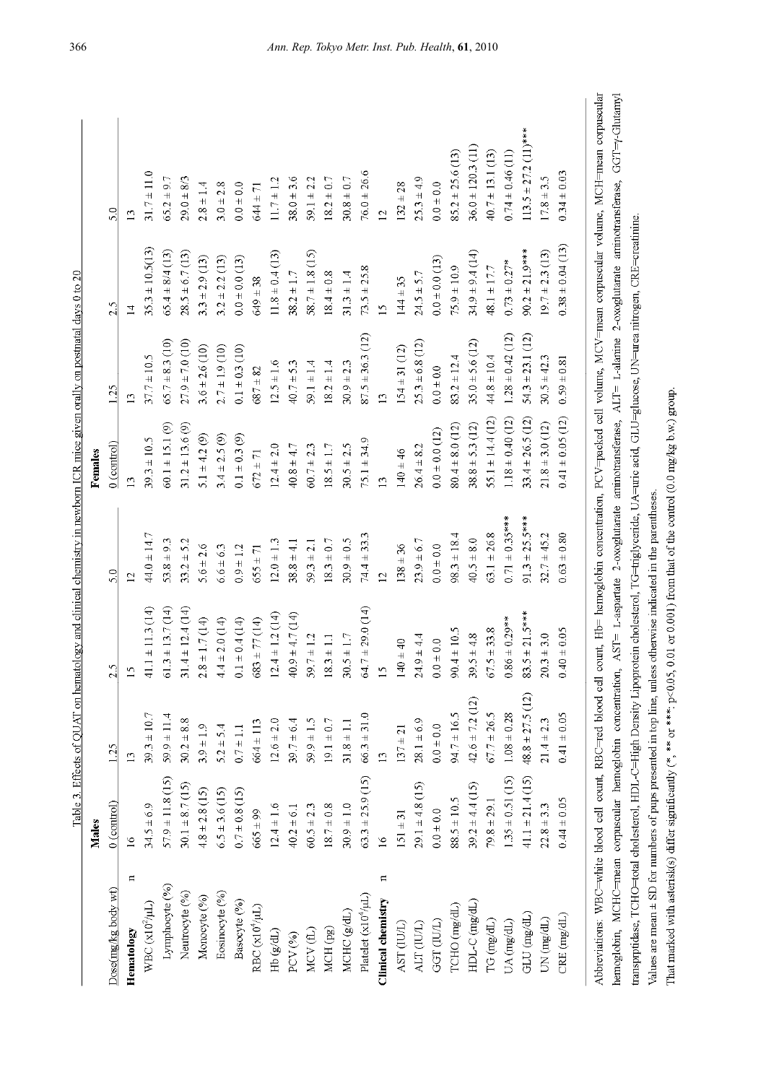|                                           |                                          |                                   | Table 3. Effects of QUAT on hematology and clinical chemistry in newborn ICR mice given orally on postnatal days 0 to 20 |                    |                     |                      |                     |                          |
|-------------------------------------------|------------------------------------------|-----------------------------------|--------------------------------------------------------------------------------------------------------------------------|--------------------|---------------------|----------------------|---------------------|--------------------------|
|                                           | Males                                    |                                   |                                                                                                                          |                    | Females             |                      |                     |                          |
| Dose(mg/kg body wt)                       | $0$ (control)                            | 1.25                              | 2.5                                                                                                                      | $\overline{5}0$    | $0$ (control)       | 1.25                 | 2.5                 | 5.0                      |
| $\mathbf{a}$<br>Hematology                | $\overline{16}$                          | $\mathbb{C}$                      |                                                                                                                          |                    | $\mathbf{r}$        | $\overline{1}$       | $\overline{z}$      | $\mathbf{r}$             |
| WBC $(x10^2/\mu L)$                       | $34.5 \pm 6.9$                           | $39.3 \pm 10.7$                   | $41.1 \pm 11.3(14)$                                                                                                      | $44.0 \pm 14.7$    | $39.3 \pm 10.5$     | $37.7 \pm 10.5$      | $35.3 \pm 10.5(13)$ | $31.7 \pm 11.0$          |
| Lymphocyte (%)                            | $57.9 \pm 11.8 \, (15)$                  |                                   | $61.3 \pm 13.7(14)$                                                                                                      | $53.8 \pm 9.3$     | $601 \pm 15.1(9)$   | $65.7 \pm 8.3$ (10)  | $65.4 \pm 8/4$ (13) | $65.2 \pm 9.7$           |
| Neutrocyte (%)                            | $30.1 \pm 8.7(15)$                       | $59.9 \pm 11.4$<br>$30.2 \pm 8.8$ | $31.4 \pm 12.4(14)$                                                                                                      | $33.2 + 5.2$       | $31.2 \pm 13.6(9)$  | $27.9 \pm 7.0$ (10)  | $28.5 \pm 6.7(13)$  | $29.0 + 8/3$             |
| Monocyte (%)                              | $4.8 \pm 2.8(15)$                        | $3.9 \pm 1.9$                     | $2.8 \pm 1.7 (14)$                                                                                                       | $5.6 \pm 2.6$      | $5.1 \pm 4.2(9)$    | $3.6 \pm 2.6(10)$    | $3.3 \pm 2.9$ (13)  | $2.8 \pm 1.4$            |
| Eosinocyte (%)                            | $6.5 \pm 3.6 (15)$<br>$0.7 \pm 0.8 (15)$ | $5.2 \pm 5.4$<br>$0.7 \pm 1.1$    | $4.4 \pm 2.0(14)$                                                                                                        | $6.6 \pm 6.3$      | $3.4 \pm 2.5(9)$    | $2.7 \pm 1.9$ (10)   | $3.2 \pm 2.2$ (13)  | $3.0 \pm 2.8$            |
| Basocyte (%)                              |                                          |                                   | $0.1 \pm 0.4$ (14)                                                                                                       | $0.9 + 1.2$        | $0.1 + 0.3(9)$      | $0.1 \pm 0.3$ (10)   | $0.0 \pm 0.0$ (13)  | $0.0 + 0.0$              |
| RBC (x10 <sup>4</sup> /µL)                | $665 \pm 99$                             | $664 \pm 113$                     | $(61)$ $24 = 23$                                                                                                         | $655 \pm 71$       | $672 + 71$          | $687 \pm 82$         | $649 \pm 38$        | $644 \pm 71$             |
| Hb (g/dL)                                 | $12.4 \pm 1.6$                           | $12.6 \pm 2.0$                    | $12.4 \pm 1.2$ (14)                                                                                                      | $12.0 \pm 1.3$     | $12.4 \pm 2.0$      | $12.5 \pm 1.6$       | $11.8 \pm 0.4$ (13) | $11.7 \pm 1.2$           |
| $\mathrm{PCV} \left( \text{96} \right)$   | $40.2 \pm 6.1$                           | $39.7 \pm 6.4$                    | $(140 + 4.7)(14)$                                                                                                        | $38.8 \pm 4.1$     | $40.8 \pm 4.7$      | $40.7 + 5.3$         | $38.2 \pm 1.7$      | $38.0 + 3.6$             |
| $MCV$ (fL)                                | $60.5 \pm 2.3$                           | $59.9 \pm 1.5$                    | $59.7 \pm 1.2$                                                                                                           | $59.3 \pm 2.1$     | $60.7 \pm 2.3$      | $59.1 \pm 1.4$       | $58.7 \pm 1.8(15)$  | $59.1 \pm 2.2$           |
| MCH (pg)                                  | $18.7 \pm 0.8$                           | $19.1 \pm 0.7$                    | $18.3 \pm 1.1$                                                                                                           | $18.3 \pm 0.7$     | $18.5 \pm 1.7$      | $18.2 \pm 1.4$       | $18.4 \pm 0.8$      | $18.2 \pm 0.7$           |
| MCHC (g/dL)                               | $30.9 \pm 1.0$                           | $31.8 \pm 1.1$                    | $30.5 \pm 1.7$                                                                                                           | $30.9 \pm 0.5$     | $30.5 \pm 2.5$      | $30.9 \pm 2.3$       | $31.3 \pm 1.4$      | $30.8 \pm 0.7$           |
| Platelet (x10 <sup>4</sup> /µL)           | $63.3 \pm 25.9$ (15)                     | $66.3 + 31.0$                     | $64.7 \pm 29.0$ (14)                                                                                                     | $74.4 \pm 33.3$    | $75.1 \pm 34.9$     | $87.5 \pm 36.3(12)$  | $73.5 \pm 25.8$     | $76.0 + 26.6$            |
| $\mathbf{u}$<br><b>Clinical chemistry</b> | $\frac{16}{16}$                          | $\overline{13}$                   | 15 <sub>1</sub>                                                                                                          | $\overline{12}$    | $\overline{13}$     | $\overline{13}$      | $15 \text{ }$       | $\frac{1}{2}$            |
| AST (IUL)                                 | $151 \pm 31$                             | $137 \pm 21$                      | $140 \pm 40$                                                                                                             | $138 \pm 36$       | $140 \pm 46$        | $154 \pm 31(12)$     | $144 \pm 35$        | $132 \pm 28$             |
| ALT (IU/L)                                | $29.1\pm4.8\ (15)$                       | $28.1 \pm 6.9$                    | $24.9 + 4.4$                                                                                                             | $23.9 + 6.7$       | $26.4 + 8.2$        | $25.3 \pm 6.8$ (12)  | $24.5 \pm 5.7$      | $25.3 \pm 4.9$           |
| GGT (IU/L)                                | $0.0\pm0.0$                              | $0.0\pm0.0$                       | $0.0\pm0.0$                                                                                                              | $0.0 + 0.0$        | $0.0 + 0.0(12)$     | $0.0 \pm 0.0$        | $0.0 + 0.0(13)$     | $0.0 + 0.0$              |
| TCHO (mg/dL)                              | $88.5 \pm 10.5$                          | $94.7 \pm 16.5$                   | $90.4 \pm 10.5$                                                                                                          | $98.3 \pm 18.4$    | $80.4 \pm 8.0(12)$  | $83.2 \pm 12.4$      | $75.9 \pm 10.9$     | $85.2 \pm 25.6(13)$      |
| $HDL-C$ (mg/dL)                           | $39.2 \pm 4.4 (15)$                      | $42.6 \pm 7.2$ (12)               | $39.5 \pm 4.8$                                                                                                           | $40.5 + 8.0$       | $38.8 \pm 5.3(12)$  | $35.0 \pm 5.6(12)$   | $34.9 \pm 9.4(14)$  | $36.0 \pm 120.3$ (11)    |
| TG (mg/dL)                                | $79.8 \pm 29.1$                          | $67.7 \pm 26.5$                   | $67.5 \pm 33.8$                                                                                                          | $63.1 \pm 26.8$    | $55.1 \pm 14.4(12)$ | $44.8 \pm 10.4$      | $48.1 \pm 17.7$     | $40.7 \pm 13.1$ (13)     |
| UA (mg/dL)                                | $1.35 \pm 0.51(15)$                      | $1.08 \pm 0.28$                   | $0.86 \pm 0.29***$                                                                                                       | $0.71 \pm 0.35***$ | $1.18 \pm 0.40(12)$ | $1.28 \pm 0.42$ (12) | $0.73 \pm 0.27*$    | $0.74 \pm 0.46(11)$      |
| $GLU$ (mg/ $dL$ )                         | $41.1 \pm 21.4(15)$                      | $48.8 \pm 27.5(12)$               | $83.5 \pm 21.5***$                                                                                                       | $91.3 \pm 25.5***$ | $33.4 \pm 26.5(12)$ | $54.3 \pm 23.1(12)$  | $90.2 \pm 21.9***$  | $113.5 \pm 27.2(11)$ *** |
| UN $(mg/dL)$                              | $22.8 \pm 3.3$                           | $21.4 \pm 2.3$                    | $20.3 + 3.0$                                                                                                             | $32.7 \pm 45.2$    | $21.8 \pm 3.0$ (12) | $30.5 \pm 42.3$      | $19.7 \pm 2.3(13)$  | $17.8 \pm 3.5$           |
| $CRE$ (mg/dL)                             | $0.44 \pm 0.05$                          | $0.41 \pm 0.05$                   | $0.40 \pm 0.05$                                                                                                          | $0.63 \pm 0.80$    | $0.41 \pm 0.05(12)$ | $0.59 \pm 0.81$      | $0.38 \pm 0.04(13)$ | $0.34 \pm 0.03$          |

Abbreviations: WBC=white blood cell count, RBC=red blood cell count, Hb= hemoglobin concentration, PCV=packed cell volume, MCV=mean corpuscular volume, MCH=mean corpuscular hemoglobin, MCHC=mean corpuscular hemoglobin concentration, AST= L-aspartate 2-oxoglutarate arminotransferase, ALT= L-alanine 2-oxoglutarate arminotransferase, GGT=y-Glutarnyl transprptidase, TCHO=total cholesterol, HDL-C=High Density Lipoprotein cholesterol, TG=triglyceride, UA=uric acid, GLU=glucose, UN=urea nitrogen, CRE=creatinine.

That marked with asterisk(s) differ significantly (\*, \*\* or \*\*\* p<0.05, 0.01 or 0.001) from that of the control (0.0 mg/kg b.w.) group.

Values are mean ± SD for numbers of pups presented in top line, unless otherwise indicated in the parentheses.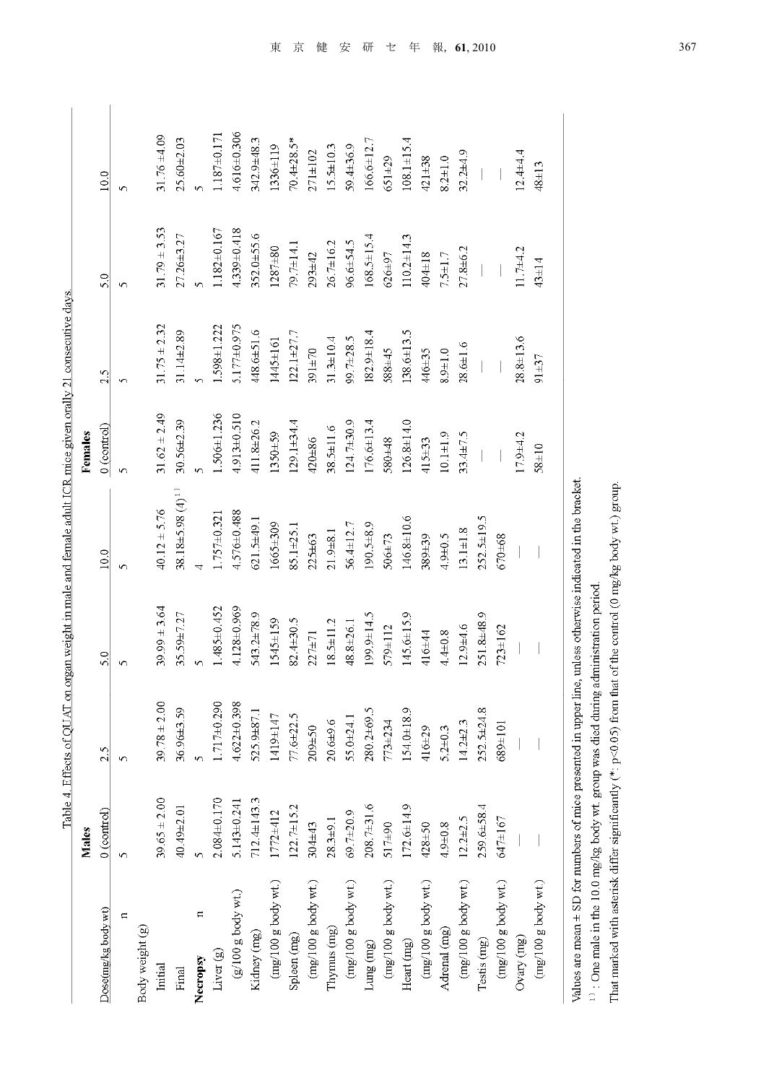|                                                           |                     |                   |                   | Table 4. Effects of QUAT on organ weight in male and female adult ICR mice given orally 21 consecutive days |                   |                  |                   |                   |
|-----------------------------------------------------------|---------------------|-------------------|-------------------|-------------------------------------------------------------------------------------------------------------|-------------------|------------------|-------------------|-------------------|
|                                                           | <b>Males</b>        |                   |                   |                                                                                                             | Females           |                  |                   |                   |
| Dose(mg/kg body wt)                                       | $0$ (control)       | 2.5               | 5.0               | 10.0                                                                                                        | $0$ (control)     | 2.5              | 5.0               | 10.0              |
| 冒                                                         | 5                   | ١n                | 5                 | $\sqrt{2}$                                                                                                  |                   | V.               | 5                 | n                 |
| Body weight (g)                                           |                     |                   |                   |                                                                                                             |                   |                  |                   |                   |
| Initial                                                   | $39.65 \pm 2.00$    | $39.78 \pm 2.00$  | $39.99 \pm 3.64$  | $40.12 \pm 5.76$                                                                                            | $31.62 \pm 2.49$  | $31.75 \pm 2.32$ | $31.79 \pm 3.53$  | $31.76 \pm 4.09$  |
| Final                                                     | 40.49±2.01          | $36.96 \pm 3.59$  | $35.59 + 7.27$    | $38.18 \pm 5.98(4)^{1}$                                                                                     | $30.56 \pm 2.39$  | $31.14 \pm 2.89$ | $27.26 + 3.27$    | $25.60 + 2.03$    |
| $\Box$<br>Necropsy                                        |                     |                   |                   |                                                                                                             |                   |                  |                   |                   |
| Liver (g)                                                 | $2.084 + 0.170$     | $1.717 + 0.290$   | $1.485 \pm 0.452$ | $.757 \pm 0.321$                                                                                            | $1.506 \pm 1.236$ | $598 \pm 1.222$  | $1.182 \pm 0.167$ | $.187 \pm 0.171$  |
| $(g/100 g$ body wt.)                                      | $5.143 \pm 0.241$   | $4.622 \pm 0.398$ | $4.128 + 0.969$   | $4.576 \pm 0.488$                                                                                           | $4.913 + 0.510$   | 5.177±0.975      | $4.339 + 0.418$   | $4.616 \pm 0.306$ |
| Kidney (mg)                                               | $712.4 \pm 143.3$   | 525.9±87.1        | 543.2±78.9        | 621.5±49.1                                                                                                  | 411.8±26.2        | 448.6±51.6       | $352.0 + 55.6$    | 342.9±48.3        |
| $(\mathrm{mg}/100~\mathrm{g}~\mathrm{body}~\mathrm{wt.})$ | $1772 + 412$        | 1419±147          | 1545±159          | $1665 + 309$                                                                                                | $1350 + 59$       | 1445±161         | $1287 + 80$       | $1336 \pm 119$    |
| Spleen (mg)                                               | $122.7 \pm 15.2$    | $77.6 + 22.5$     | $82.4 + 30.5$     | $85.1 \pm 25.1$                                                                                             | $129.1 \pm 34.4$  | $122.1 + 27.7$   | 79.7±14.1         | 70.4±28.5*        |
| $(\mathrm{m}\mathrm{g}/100~\mathrm{g}$ body wt.)          | $304 + 43$          | 209±50            | $227 \pm 71$      | 225±63                                                                                                      | 420±86            | $391 + 70$       | $293 + 42$        | $271 \pm 102$     |
| Thymus (mg)                                               | $28.3 + 9.1$        | $20.6 + 9.6$      | $18.5 \pm 11.2$   | $21.9 + 8.1$                                                                                                | $38.5 \pm 11.6$   | $31.3 \pm 10.4$  | 26.7±16.2         | $15.5 \pm 10.3$   |
| $(\mathrm{mg}/100~\mathrm{g}~\mathrm{body}~\mathrm{wt.})$ | 69.7±20.9           | $55.0 + 24.1$     | 48.8±26.1         | 56.4±12.7                                                                                                   | $124.7 + 30.9$    | 99.7±28.5        | 96.6±54.5         | 59.4±36.9         |
| Lung $(mg)$                                               | $208.7 + 31.6$      | 280.2±69.5        | $199.9 \pm 14.5$  | $190.5 + 8.9$                                                                                               | $176.6 \pm 13.4$  | $182.9 \pm 18.4$ | $168.5 \pm 15.4$  | $166.6 \pm 12.7$  |
| $(mg/100 g$ body wt.)                                     | 06 <sup>#2</sup> 15 | $773 + 234$       | 579±112           | $506 \pm 73$                                                                                                | 884±08            | 388±45           | $626 + 97$        | $651 + 29$        |
| Heart (mg)                                                | $172.6 \pm 14.9$    | $154.0 \pm 18.9$  | 145.6±15.9        | $146.8 \pm 10.6$                                                                                            | $126.8 \pm 14.0$  | $138.6 \pm 13.5$ | $110.2 \pm 14.3$  | $108.1 \pm 15.4$  |
| $(\mathrm{mg}/100~\mathrm{g}~\mathrm{body}~\mathrm{wt.})$ | $428 + 50$          | 416±29            | 416±44            | 389±39                                                                                                      | $415\pm33$        | 446±35           | $404\pm18$        | $421 + 38$        |
| Adrenal (mg)                                              | $4.9 + 0.8$         | $5.2 + 0.3$       | $4.4 \pm 0.8$     | $4.9 + 0.5$                                                                                                 | $10.1 + 1.9$      | 8.9±1.0          | $7.5 \pm 1.7$     | $8.2 + 1.0$       |
| $(mg/100 g$ body wt.)                                     | $12.2 + 2.5$        | $14.2 \pm 2.3$    | $12.9 + 4.6$      | $13.1 \pm 1.8$                                                                                              | $33.4 \pm 7.5$    | $28.6 \pm 1.6$   | 27.8±6.2          | $32.2 + 4.9$      |
| Testis (mg)                                               | 259.6±58.4          | $252.5 + 24.8$    | $251.8 + 48.9$    | $252.5 \pm 19.5$                                                                                            |                   |                  |                   |                   |
| $(\mathrm{mg}/100~\mathrm{g}~\mathrm{body}~\mathrm{wt.})$ | 647±167             | 101#689           | $723 \pm 162$     | 89+029                                                                                                      |                   |                  |                   |                   |
| Ovary (mg)                                                |                     |                   |                   |                                                                                                             | $17.9 + 4.2$      | $28.8 \pm 13.6$  | $1.7 + 4.2$       | $12.4 + 4.4$      |
| $(mg/100 g$ body wt.)                                     |                     |                   |                   |                                                                                                             | $58 + 10$         | $91 + 37$        | $43 + 14$         | $48 + 13$         |

Values are mean ± SD for numbers of mice presented in upper line, unless otherwise indicated in the bracket.

 $^{1)}$  : One male in the 10.0 mg/kg body wt. group was died during administration period.

That marked with asterisk differ significantly (\*: p<0.05) from that of the control (0 mg/kg body wt.) group.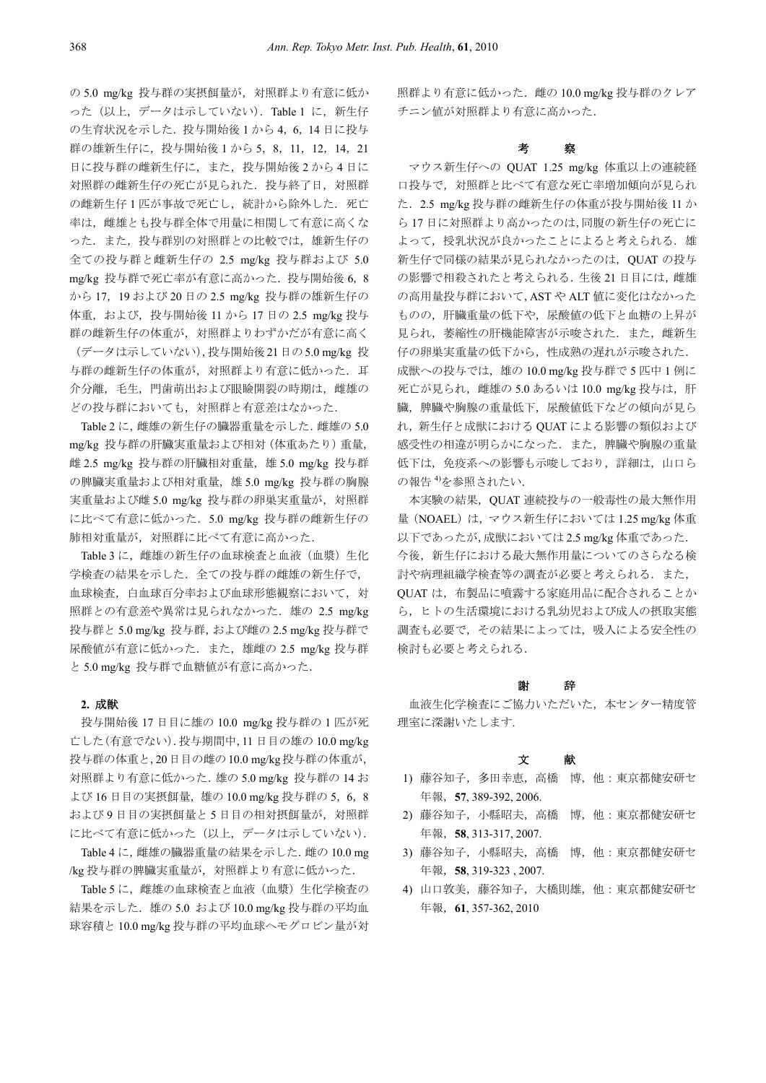の 5.0 mg/kg 投与群の実摂餌量が、対照群より有意に低か った(以上,データは示していない). Table 1 に, 新生仔 の生育状況を示した.投与開始後 1 から 4,6,14 日に投与 群の雄新生仔に,投与開始後 1 から 5,8, 11, 12, 14, 21 日に投与群の雌新生仔に、また、投与開始後2から4日に 対照群の雌新生仔の死亡が見られた. 投与終了日,対照群 の雌新生仔1匹が事故で死亡し、統計から除外した. 死亡 率は,雌雄とも投与群全体で用量に相関して有意に高くな った.また,投与群別の対照群との比較では,雄新生仔の 全ての投与群と雌新生仔の 2.5 mg/kg 投与群および 5.0 mg/kg 投与群で死亡率が有意に高かった. 投与開始後 6, 8 から 17,19 および 20 日の 2.5 mg/kg 投与群の雄新生仔の 体重,および,投与開始後 11 から 17 日の 2.5 mg/kg 投与 群の雌新生仔の体重が,対照群よりわずかだが有意に高く (データは示していない),投与開始後21日の5.0 mg/kg 投 与群の雌新生仔の体重が、対照群より有意に低かった. 耳 介分離,毛生,門歯萌出および眼瞼開裂の時期は,雌雄の どの投与群においても,対照群と有意差はなかった.

Table 2 に,雌雄の新生仔の臓器重量を示した.雌雄の 5.0 mg/kg 投与群の肝臓実重量および相対(体重あたり)重量, 雌 2.5 mg/kg 投与群の肝臓相対重量,雄 5.0 mg/kg 投与群 の脾臓実重量および相対重量,雄 5.0 mg/kg 投与群の胸腺 実重量および雌 5.0 mg/kg 投与群の卵巣実重量が, 対照群 に比べて有意に低かった. 5.0 mg/kg 投与群の雌新生仔の 肺相対重量が,対照群に比べて有意に高かった.

Table 3 に, 雌雄の新生仔の血球検査と血液(血漿)生化 学検査の結果を示した. 全ての投与群の雌雄の新生仔で, 血球検査,白血球百分率および血球形態観察において,対 照群との有意差や異常は見られなかった. 雄の 2.5 mg/kg 投与群と 5.0 mg/kg 投与群,および雌の 2.5 mg/kg 投与群で 尿酸値が有意に低かった. また, 雄雌の 2.5 mg/kg 投与群 と 5.0 mg/kg 投与群で血糖値が有意に高かった.

#### **2.** 成獣

投与開始後 17 日目に雄の 10.0 mg/kg 投与群の 1 匹が死 亡した(有意でない).投与期間中,11 日目の雄の 10.0 mg/kg 投与群の体重と,20日目の雌の10.0 mg/kg投与群の体重が, 対照群より有意に低かった.雄の 5.0 mg/kg 投与群の 14 お よび 16 日目の実摂餌量,雄の 10.0 mg/kg 投与群の 5, 6, 8 および9日目の実摂餌量と5日目の相対摂餌量が、対照群 に比べて有意に低かった(以上、データは示していない).

Table 4 に,雌雄の臓器重量の結果を示した.雌の 10.0 mg /kg 投与群の脾臓実重量が,対照群より有意に低かった.

Table 5 に, 雌雄の血球検査と血液(血漿)生化学検査の 結果を示した. 雄の 5.0 および 10.0 mg/kg 投与群の平均血 球容積と 10.0 mg/kg 投与群の平均血球へモグロビン量が対 照群より有意に低かった. 雌の 10.0 mg/kg 投与群のクレア チニン値が対照群より有意に高かった.

## 考 察

マウス新生仔への QUAT 1.25 mg/kg 体重以上の連続経 口投与で,対照群と比べて有意な死亡率増加傾向が見られ た.2.5 mg/kg 投与群の雌新生仔の体重が投与開始後 11 か ら 17 日に対照群より高かったのは,同腹の新生仔の死亡に よって,授乳状況が良かったことによると考えられる. 雄 新生仔で同様の結果が見られなかったのは、QUAT の投与 の影響で相殺されたと考えられる.生後 21 日目には,雌雄 の高用量投与群において,AST や ALT 値に変化はなかった ものの,肝臓重量の低下や,尿酸値の低下と血糖の上昇が 見られ、萎縮性の肝機能障害が示唆された.また、雌新生 仔の卵巣実重量の低下から,性成熟の遅れが示唆された. 成獣への投与では、雄の 10.0 mg/kg 投与群で 5 匹中 1 例に 死亡が見られ, 雌雄の 5.0 あるいは 10.0 mg/kg 投与は, 肝 臓,脾臓や胸腺の重量低下,尿酸値低下などの傾向が見ら れ,新生仔と成獣における QUAT による影響の類似および 感受性の相違が明らかになった. また、脾臓や胸腺の重量 低下は、免疫系への影響も示唆しており、詳細は、山口ら の報告 <sup>4)</sup>を参照されたい.

 本実験の結果,QUAT 連続投与の一般毒性の最大無作用 量 (NOAEL) は、マウス新生仔においては 1.25 mg/kg 体重 以下であったが,成獣においては 2.5 mg/kg 体重であった. 今後,新生仔における最大無作用量についてのさらなる検 討や病理組織学検査等の調査が必要と考えられる.また, QUAT は,布製品に噴霧する家庭用品に配合されることか ら,ヒトの生活環境における乳幼児および成人の摂取実態 調査も必要で,その結果によっては,吸入による安全性の 検討も必要と考えられる.

#### 謝 辞

血液生化学検査にご協力いただいた,本センター精度管 理室に深謝いたします.

#### 文 献

- 1) 藤谷知子,多田幸恵,高橋 博,他:東京都健安研セ 年報,**57**, 389-392, 2006.
- 2) 藤谷知子, 小縣昭夫, 高橋 博, 他: 東京都健安研セ 年報,**58**, 313-317, 2007.
- 3) 藤谷知子,小縣昭夫,高橋 博,他:東京都健安研セ 年報,**58**, 319-323 , 2007.
- 4) 山口敦美,藤谷知子,大橋則雄,他:東京都健安研セ 年報,**61**, 357-362, 2010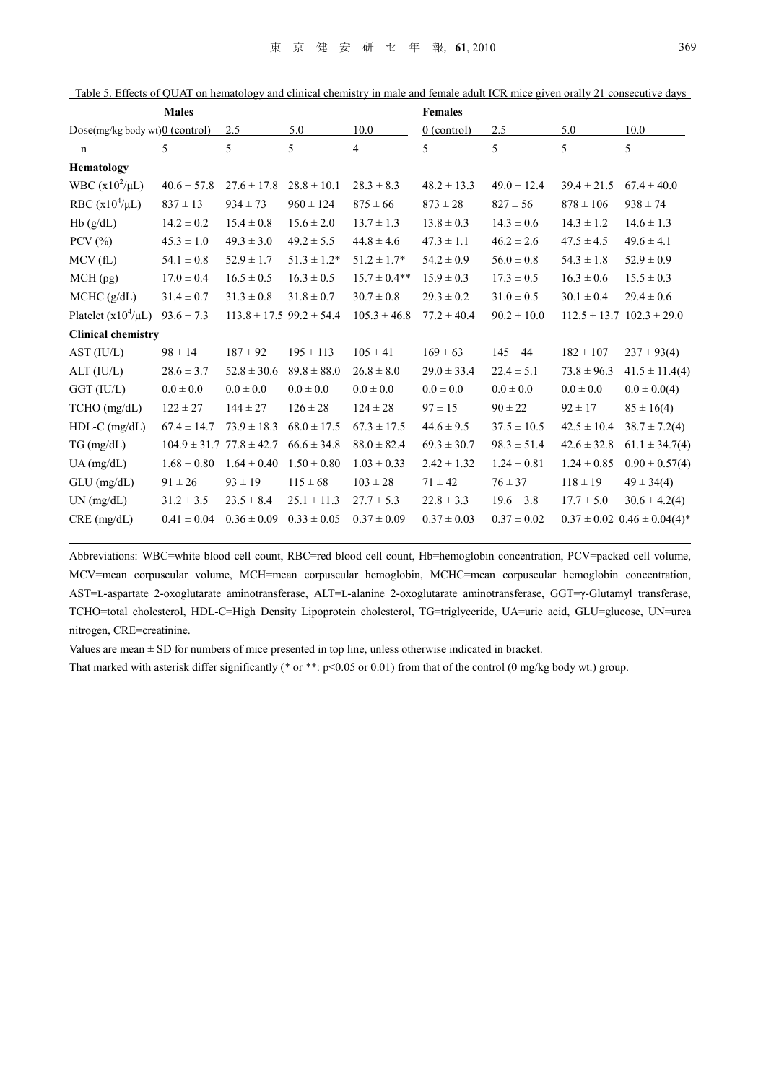Table 5. Effects of QUAT on hematology and clinical chemistry in male and female adult ICR mice given orally 21 consecutive days

|                                   | <b>Males</b>                     |                                  |                  |                  | <b>Females</b>  |                 |                 |                                      |
|-----------------------------------|----------------------------------|----------------------------------|------------------|------------------|-----------------|-----------------|-----------------|--------------------------------------|
| Dose(mg/kg body wt) $0$ (control) |                                  | 2.5                              | 5.0              | 10.0             | $0$ (control)   | 2.5             | 5.0             | 10.0                                 |
| $\mathbf n$                       | 5                                | 5                                | 5                | $\overline{4}$   | 5               | 5               | 5               | 5                                    |
| Hematology                        |                                  |                                  |                  |                  |                 |                 |                 |                                      |
| WBC $(x10^2/\mu L)$               | $40.6 \pm 57.8$                  | $27.6 \pm 17.8$                  | $28.8 \pm 10.1$  | $28.3 \pm 8.3$   | $48.2 \pm 13.3$ | $49.0 \pm 12.4$ | $39.4 \pm 21.5$ | $67.4 \pm 40.0$                      |
| RBC $(x10^4/\mu L)$               | $837 \pm 13$                     | $934 \pm 73$                     | $960 \pm 124$    | $875 \pm 66$     | $873 \pm 28$    | $827 \pm 56$    | $878 \pm 106$   | $938 \pm 74$                         |
| Hb(g/dL)                          | $14.2 \pm 0.2$                   | $15.4 \pm 0.8$                   | $15.6 \pm 2.0$   | $13.7 \pm 1.3$   | $13.8 \pm 0.3$  | $14.3 \pm 0.6$  | $14.3 \pm 1.2$  | $14.6 \pm 1.3$                       |
| PCV $(\% )$                       | $45.3 \pm 1.0$                   | $49.3 \pm 3.0$                   | $49.2 \pm 5.5$   | $44.8 \pm 4.6$   | $47.3 \pm 1.1$  | $46.2 \pm 2.6$  | $47.5 \pm 4.5$  | $49.6 \pm 4.1$                       |
| MCV (fL)                          | $54.1 \pm 0.8$                   | $52.9 \pm 1.7$                   | $51.3 \pm 1.2^*$ | $51.2 \pm 1.7^*$ | $54.2 \pm 0.9$  | $56.0 \pm 0.8$  | $54.3 \pm 1.8$  | $52.9 \pm 0.9$                       |
| MCH (pg)                          | $17.0 \pm 0.4$                   | $16.5 \pm 0.5$                   | $16.3 \pm 0.5$   | $15.7 \pm 0.4**$ | $15.9 \pm 0.3$  | $17.3 \pm 0.5$  | $16.3 \pm 0.6$  | $15.5 \pm 0.3$                       |
| MCHC (g/dL)                       | $31.4 \pm 0.7$                   | $31.3 \pm 0.8$                   | $31.8 \pm 0.7$   | $30.7 \pm 0.8$   | $29.3 \pm 0.2$  | $31.0 \pm 0.5$  | $30.1 \pm 0.4$  | $29.4 \pm 0.6$                       |
| Platelet $(x10^4/\mu L)$          | $93.6 \pm 7.3$                   | $113.8 \pm 17.5$ 99.2 $\pm$ 54.4 |                  | $105.3 \pm 46.8$ | $77.2 \pm 40.4$ | $90.2 \pm 10.0$ |                 | $112.5 \pm 13.7$ $102.3 \pm 29.0$    |
| <b>Clinical chemistry</b>         |                                  |                                  |                  |                  |                 |                 |                 |                                      |
| AST (IU/L)                        | $98 \pm 14$                      | $187 \pm 92$                     | $195 \pm 113$    | $105 \pm 41$     | $169 \pm 63$    | $145 \pm 44$    | $182 \pm 107$   | $237 \pm 93(4)$                      |
| ALT (IU/L)                        | $28.6 \pm 3.7$                   | $52.8 \pm 30.6$                  | $89.8 \pm 88.0$  | $26.8 \pm 8.0$   | $29.0 \pm 33.4$ | $22.4 \pm 5.1$  | $73.8 \pm 96.3$ | $41.5 \pm 11.4(4)$                   |
| GGT (IU/L)                        | $0.0 \pm 0.0$                    | $0.0 \pm 0.0$                    | $0.0 \pm 0.0$    | $0.0 \pm 0.0$    | $0.0 \pm 0.0$   | $0.0 \pm 0.0$   | $0.0 \pm 0.0$   | $0.0 \pm 0.0(4)$                     |
| TCHO (mg/dL)                      | $122 \pm 27$                     | $144 \pm 27$                     | $126 \pm 28$     | $124 \pm 28$     | $97 \pm 15$     | $90 \pm 22$     | $92 \pm 17$     | $85 \pm 16(4)$                       |
| $HDL-C$ (mg/dL)                   | $67.4 \pm 14.7$                  | $73.9 \pm 18.3$                  | $68.0 \pm 17.5$  | $67.3 \pm 17.5$  | $44.6 \pm 9.5$  | $37.5 \pm 10.5$ | $42.5 \pm 10.4$ | $38.7 \pm 7.2(4)$                    |
| TG (mg/dL)                        | $104.9 \pm 31.7$ 77.8 $\pm 42.7$ |                                  | $66.6 \pm 34.8$  | $88.0 \pm 82.4$  | $69.3 \pm 30.7$ | $98.3 \pm 51.4$ | $42.6 \pm 32.8$ | $61.1 \pm 34.7(4)$                   |
| $UA$ (mg/dL)                      | $1.68 \pm 0.80$                  | $1.64 \pm 0.40$                  | $1.50 \pm 0.80$  | $1.03 \pm 0.33$  | $2.42 \pm 1.32$ | $1.24 \pm 0.81$ | $1.24 \pm 0.85$ | $0.90 \pm 0.57(4)$                   |
| GLU (mg/dL)                       | $91 \pm 26$                      | $93 \pm 19$                      | $115 \pm 68$     | $103 \pm 28$     | $71 \pm 42$     | $76 \pm 37$     | $118 \pm 19$    | $49 \pm 34(4)$                       |
| UN (mg/dL)                        | $31.2 \pm 3.5$                   | $23.5 \pm 8.4$                   | $25.1 \pm 11.3$  | $27.7 \pm 5.3$   | $22.8 \pm 3.3$  | $19.6 \pm 3.8$  | $17.7 \pm 5.0$  | $30.6 \pm 4.2(4)$                    |
| CRE (mg/dL)                       | $0.41 \pm 0.04$                  | $0.36 \pm 0.09$                  | $0.33 \pm 0.05$  | $0.37 \pm 0.09$  | $0.37 \pm 0.03$ | $0.37 \pm 0.02$ |                 | $0.37 \pm 0.02$ $0.46 \pm 0.04(4)^*$ |
|                                   |                                  |                                  |                  |                  |                 |                 |                 |                                      |

Abbreviations: WBC=white blood cell count, RBC=red blood cell count, Hb=hemoglobin concentration, PCV=packed cell volume, MCV=mean corpuscular volume, MCH=mean corpuscular hemoglobin, MCHC=mean corpuscular hemoglobin concentration, AST=L-aspartate 2-oxoglutarate aminotransferase, ALT=L-alanine 2-oxoglutarate aminotransferase, GGT=γ-Glutamyl transferase, TCHO=total cholesterol, HDL-C=High Density Lipoprotein cholesterol, TG=triglyceride, UA=uric acid, GLU=glucose, UN=urea nitrogen, CRE=creatinine.

Values are mean ± SD for numbers of mice presented in top line, unless otherwise indicated in bracket.

 $\overline{a}$ 

That marked with asterisk differ significantly (\* or \*\*: p<0.05 or 0.01) from that of the control (0 mg/kg body wt.) group.